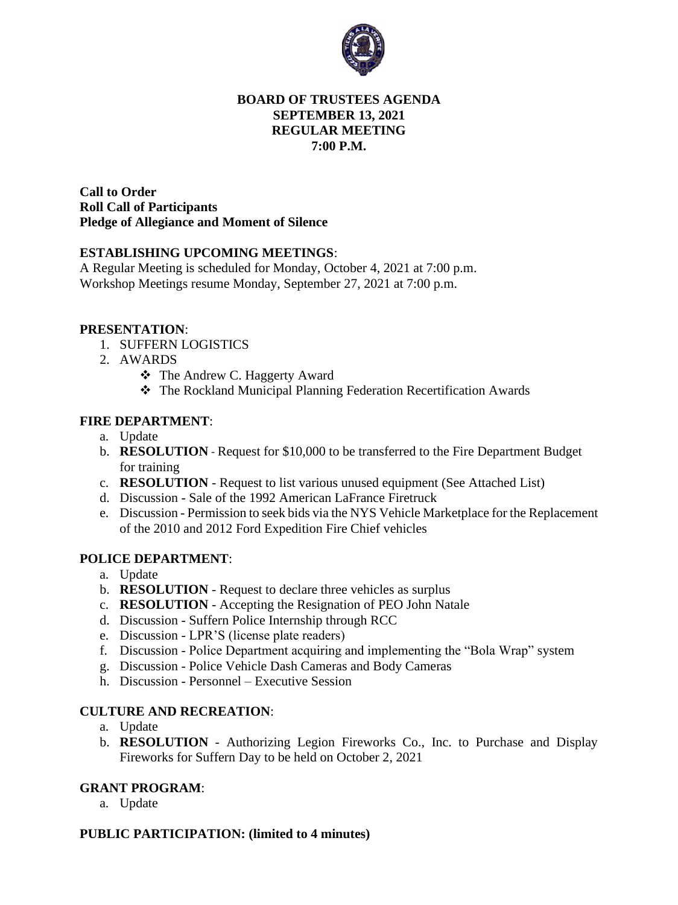

### **BOARD OF TRUSTEES AGENDA SEPTEMBER 13, 2021 REGULAR MEETING 7:00 P.M.**

**Call to Order Roll Call of Participants Pledge of Allegiance and Moment of Silence** 

### **ESTABLISHING UPCOMING MEETINGS**:

A Regular Meeting is scheduled for Monday, October 4, 2021 at 7:00 p.m. Workshop Meetings resume Monday, September 27, 2021 at 7:00 p.m.

### **PRESENTATION**:

- 1. SUFFERN LOGISTICS
- 2. AWARDS
	- ❖ The Andrew C. Haggerty Award
	- ❖ The Rockland Municipal Planning Federation Recertification Awards

### **FIRE DEPARTMENT**:

- a. Update
- b. **RESOLUTION** Request for \$10,000 to be transferred to the Fire Department Budget for training
- c. **RESOLUTION** Request to list various unused equipment (See Attached List)
- d. Discussion Sale of the 1992 American LaFrance Firetruck
- e. Discussion Permission to seek bids via the NYS Vehicle Marketplace for the Replacement of the 2010 and 2012 Ford Expedition Fire Chief vehicles

# **POLICE DEPARTMENT**:

- a. Update
- b. **RESOLUTION** Request to declare three vehicles as surplus
- c. **RESOLUTION** Accepting the Resignation of PEO John Natale
- d. Discussion Suffern Police Internship through RCC
- e. Discussion LPR'S (license plate readers)
- f. Discussion Police Department acquiring and implementing the "Bola Wrap" system
- g. Discussion Police Vehicle Dash Cameras and Body Cameras
- h. Discussion Personnel Executive Session

### **CULTURE AND RECREATION**:

- a. Update
- b. **RESOLUTION** Authorizing Legion Fireworks Co., Inc. to Purchase and Display Fireworks for Suffern Day to be held on October 2, 2021

# **GRANT PROGRAM**:

a. Update

# **PUBLIC PARTICIPATION: (limited to 4 minutes)**